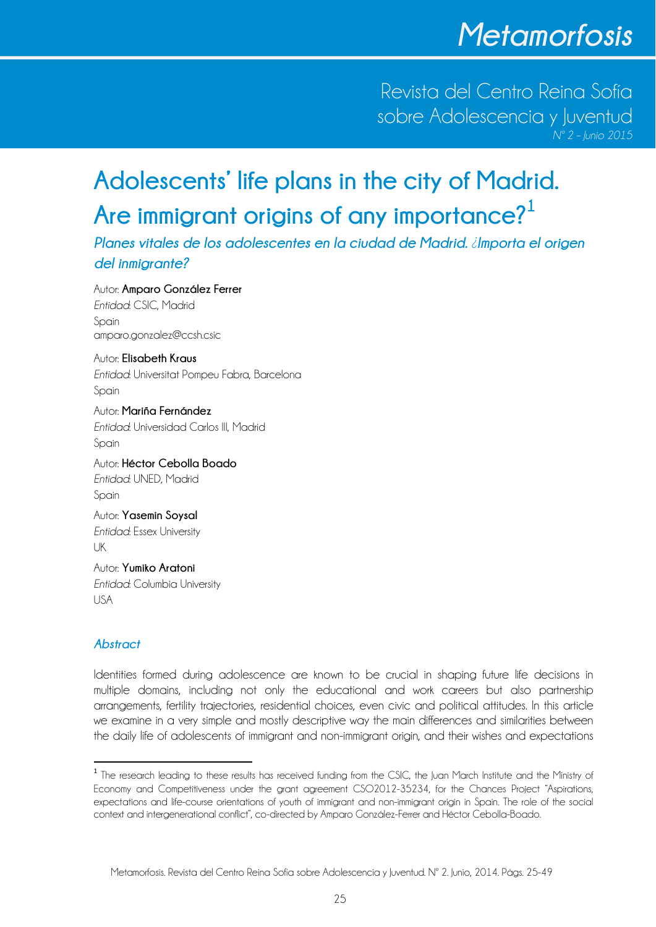Revista del Centro Reina Sofía sobre Adolescencia y Juventud

# **Adolescents' life plans in the city of Madrid. Are immigrant origins of any importance?<sup>1</sup>**

*Planes vitales de los adolescentes en la ciudad de Madrid. ¿Importa el origen del inmigrante?*

Autor: **Amparo González Ferrer** *Entidad*: CSIC, Madrid Spain amparo.gonzalez@ccsh.csic

Autor: **Elisabeth Kraus** *Entidad*: Universitat Pompeu Fabra, Barcelona Spain

Autor: **Mariña Fernández** *Entidad*: Universidad Carlos III, Madrid Spain

Autor: **Héctor Cebolla Boado**  *Entidad*: UNED, Madrid Spain Autor: **Yasemin Soysal** 

*Entidad*: Essex University UK

Autor: **Yumiko Aratoni**  *Entidad*: Columbia University USA

# *Abstract*

Identities formed during adolescence are known to be crucial in shaping future life decisions in multiple domains, including not only the educational and work careers but also partnership arrangements, fertility trajectories, residential choices, even civic and political attitudes. In this article we examine in a very simple and mostly descriptive way the main differences and similarities between the daily life of adolescents of immigrant and non-immigrant origin, and their wishes and expectations

<sup>&</sup>lt;sup>1</sup> The research leading to these results has received funding from the CSIC, the Juan March Institute and the Ministry of Economy and Competitiveness under the grant agreement CSO2012-35234, for the Chances Project "Aspirations, expectations and life-course orientations of youth of immigrant and non-immigrant origin in Spain. The role of the social context and intergenerational conflict", co-directed by Amparo González-Ferrer and Héctor Cebolla-Boado.

Metamorfosis. Revista del Centro Reina Sofía sobre Adolescencia y Juventud. Nº 2. Junio, 2014. Págs. 25-49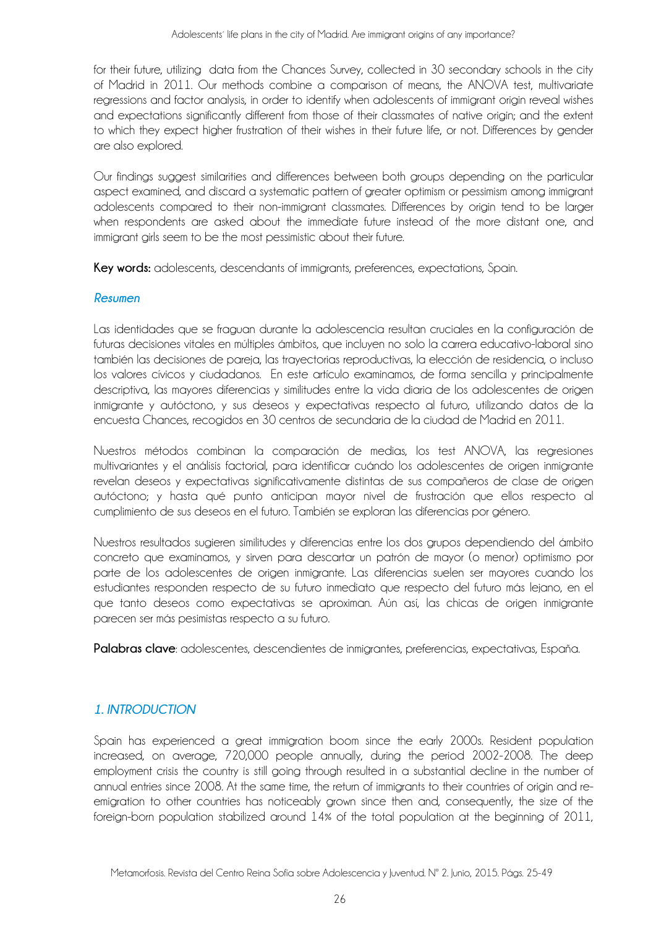for their future, utilizing data from the Chances Survey, collected in 30 secondary schools in the city of Madrid in 2011. Our methods combine a comparison of means, the ANOVA test, multivariate regressions and factor analysis, in order to identify when adolescents of immigrant origin reveal wishes and expectations significantly different from those of their classmates of native origin; and the extent to which they expect higher frustration of their wishes in their future life, or not. Differences by gender are also explored.

Our findings suggest similarities and differences between both groups depending on the particular aspect examined, and discard a systematic pattern of greater optimism or pessimism among immigrant adolescents compared to their non-immigrant classmates. Differences by origin tend to be larger when respondents are asked about the immediate future instead of the more distant one, and immigrant girls seem to be the most pessimistic about their future.

**Key words:** adolescents, descendants of immigrants, preferences, expectations, Spain.

#### *Resumen*

Las identidades que se fraguan durante la adolescencia resultan cruciales en la configuración de futuras decisiones vitales en múltiples ámbitos, que incluyen no solo la carrera educativo-laboral sino también las decisiones de pareja, las trayectorias reproductivas, la elección de residencia, o incluso los valores cívicos y ciudadanos. En este artículo examinamos, de forma sencilla y principalmente descriptiva, las mayores diferencias y similitudes entre la vida diaria de los adolescentes de origen inmigrante y autóctono, y sus deseos y expectativas respecto al futuro, utilizando datos de la encuesta Chances, recogidos en 30 centros de secundaria de la ciudad de Madrid en 2011.

Nuestros métodos combinan la comparación de medias, los test ANOVA, las regresiones multivariantes y el análisis factorial, para identificar cuándo los adolescentes de origen inmigrante revelan deseos y expectativas significativamente distintas de sus compañeros de clase de origen autóctono; y hasta qué punto anticipan mayor nivel de frustración que ellos respecto al cumplimiento de sus deseos en el futuro. También se exploran las diferencias por género.

Nuestros resultados sugieren similitudes y diferencias entre los dos grupos dependiendo del ámbito concreto que examinamos, y sirven para descartar un patrón de mayor (o menor) optimismo por parte de los adolescentes de origen inmigrante. Las diferencias suelen ser mayores cuando los estudiantes responden respecto de su futuro inmediato que respecto del futuro más lejano, en el que tanto deseos como expectativas se aproximan. Aún así, las chicas de origen inmigrante parecen ser más pesimistas respecto a su futuro.

**Palabras clave**: adolescentes, descendientes de inmigrantes, preferencias, expectativas, España.

# *1. INTRODUCTION*

Spain has experienced a great immigration boom since the early 2000s. Resident population increased, on average, 720,000 people annually, during the period 2002-2008. The deep employment crisis the country is still going through resulted in a substantial decline in the number of annual entries since 2008. At the same time, the return of immigrants to their countries of origin and reemigration to other countries has noticeably grown since then and, consequently, the size of the foreign-born population stabilized around 14% of the total population at the beginning of 2011,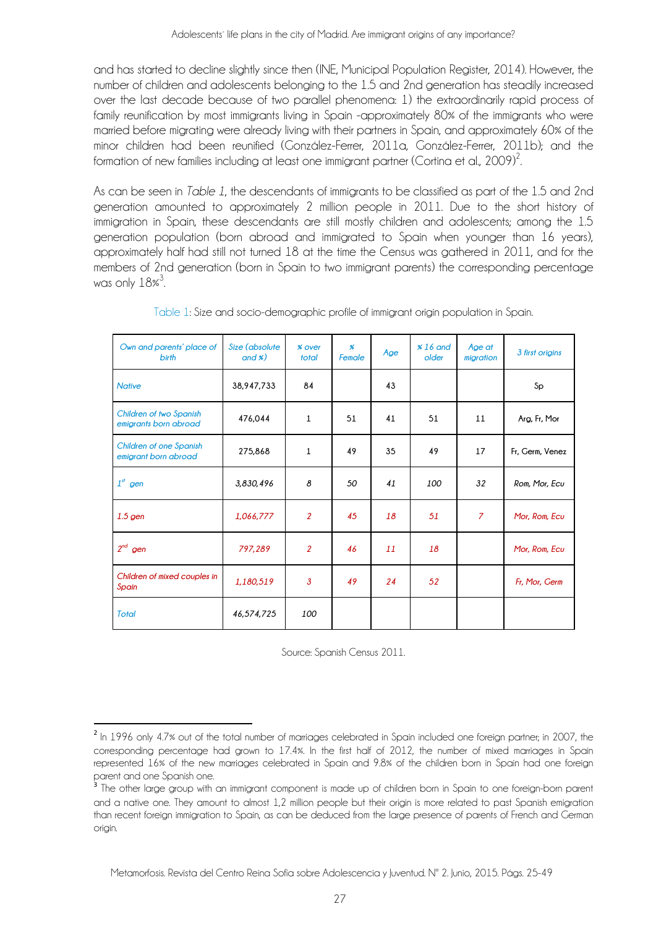and has started to decline slightly since then (INE, Municipal Population Register, 2014). However, the number of children and adolescents belonging to the 1.5 and 2nd generation has steadily increased over the last decade because of two parallel phenomena: 1) the extraordinarily rapid process of family reunification by most immigrants living in Spain -approximately 80% of the immigrants who were married before migrating were already living with their partners in Spain, and approximately 60% of the minor children had been reunified (González-Ferrer, 2011a, González-Ferrer, 2011b); and the formation of new families including at least one immigrant partner (Cortina et al., 2009) $^2$ .

As can be seen in *Table 1*, the descendants of immigrants to be classified as part of the 1.5 and 2nd generation amounted to approximately 2 million people in 2011. Due to the short history of immigration in Spain, these descendants are still mostly children and adolescents; among the 1.5 generation population (born abroad and immigrated to Spain when younger than 16 years), approximately half had still not turned 18 at the time the Census was gathered in 2011, and for the members of 2nd generation (born in Spain to two immigrant parents) the corresponding percentage was only  $18\degree^3$ .

| Own and parents' place of<br><b>birth</b>        | Size (absolute<br>and $\mathcal{E}$ ) | % over<br>total | $\boldsymbol{\%}$<br>Female | Age | $\frac{1}{6}$ and<br>older | Age at<br>migration | 3 first origins |
|--------------------------------------------------|---------------------------------------|-----------------|-----------------------------|-----|----------------------------|---------------------|-----------------|
| <b>Native</b>                                    | 38,947,733                            | 84              |                             | 43  |                            |                     | Sp              |
| Children of two Spanish<br>emigrants born abroad | 476,044                               | $\mathbf{1}$    | 51                          | 41  | 51                         | 11                  | Arg, Fr, Mor    |
| Children of one Spanish<br>emigrant born abroad  | 275,868                               | $\mathbf{1}$    | 49                          | 35  | 49                         | 17                  | Fr, Germ, Venez |
| $1st$ gen                                        | 3,830,496                             | 8               | 50                          | 41  | 100                        | 32                  | Rom, Mor, Ecu   |
| $1.5$ gen                                        | 1,066,777                             | $\overline{2}$  | 45                          | 18  | 51                         | $\overline{z}$      | Mor, Rom, Ecu   |
| $2^{nd}$ gen                                     | 797,289                               | $\overline{2}$  | 46                          | 11  | 18                         |                     | Mor, Rom, Ecu   |
| Children of mixed couples in<br>Spain            | 1,180,519                             | $\mathbf{3}$    | 49                          | 24  | 52                         |                     | Fr, Mor, Germ   |
| <b>Total</b>                                     | 46,574,725                            | 100             |                             |     |                            |                     |                 |

Table 1: Size and socio-demographic profile of immigrant origin population in Spain.

Source: Spanish Census 2011.

<sup>&</sup>lt;sup>2</sup> In 1996 only 4.7% out of the total number of marriages celebrated in Spain included one foreign partner; in 2007, the corresponding percentage had grown to 17.4%. In the first half of 2012, the number of mixed marriages in Spain represented 16% of the new marriages celebrated in Spain and 9.8% of the children born in Spain had one foreign parent and one Spanish one.

<sup>3</sup> The other large group with an immigrant component is made up of children born in Spain to one foreign-born parent and a native one. They amount to almost 1,2 million people but their origin is more related to past Spanish emigration than recent foreign immigration to Spain, as can be deduced from the large presence of parents of French and German origin.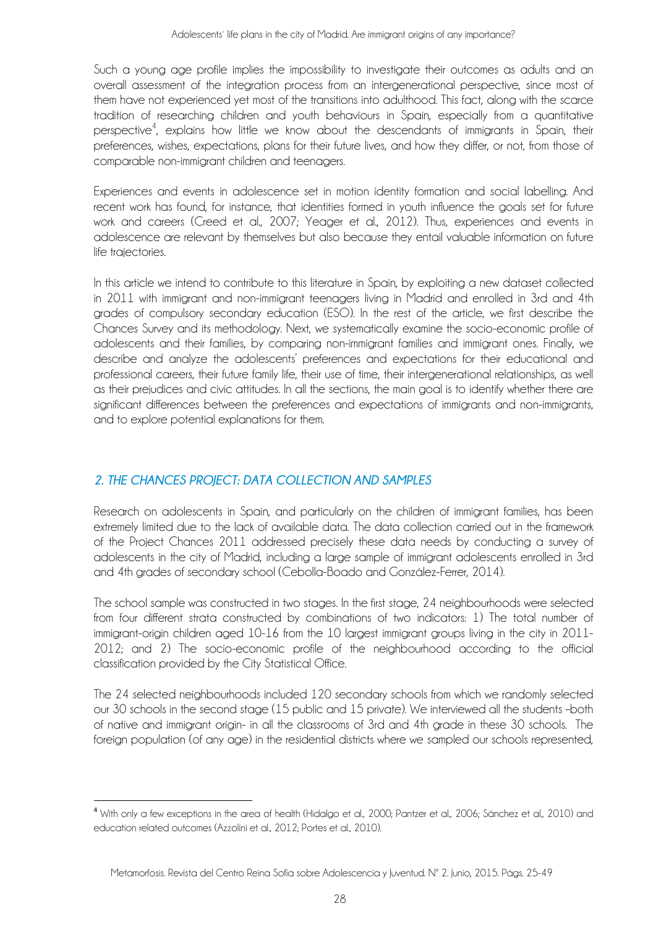Such a young age profile implies the impossibility to investigate their outcomes as adults and an overall assessment of the integration process from an intergenerational perspective, since most of them have not experienced yet most of the transitions into adulthood. This fact, along with the scarce tradition of researching children and youth behaviours in Spain, especially from a quantitative perspective<sup>4</sup>, explains how little we know about the descendants of immigrants in Spain, their preferences, wishes, expectations, plans for their future lives, and how they differ, or not, from those of comparable non-immigrant children and teenagers.

Experiences and events in adolescence set in motion identity formation and social labelling. And recent work has found, for instance, that identities formed in youth influence the goals set for future work and careers (Creed et al., 2007; Yeager et al., 2012). Thus, experiences and events in adolescence are relevant by themselves but also because they entail valuable information on future life trajectories.

In this article we intend to contribute to this literature in Spain, by exploiting a new dataset collected in 2011 with immigrant and non-immigrant teenagers living in Madrid and enrolled in 3rd and 4th grades of compulsory secondary education (ESO). In the rest of the article, we first describe the Chances Survey and its methodology. Next, we systematically examine the socio-economic profile of adolescents and their families, by comparing non-immigrant families and immigrant ones. Finally, we describe and analyze the adolescents' preferences and expectations for their educational and professional careers, their future family life, their use of time, their intergenerational relationships, as well as their prejudices and civic attitudes. In all the sections, the main goal is to identify whether there are significant differences between the preferences and expectations of immigrants and non-immigrants, and to explore potential explanations for them.

# *2. THE CHANCES PROJECT: DATA COLLECTION AND SAMPLES*

Research on adolescents in Spain, and particularly on the children of immigrant families, has been extremely limited due to the lack of available data. The data collection carried out in the framework of the Project Chances 2011 addressed precisely these data needs by conducting a survey of adolescents in the city of Madrid, including a large sample of immigrant adolescents enrolled in 3rd and 4th grades of secondary school (Cebolla-Boado and González-Ferrer, 2014).

The school sample was constructed in two stages. In the first stage, 24 neighbourhoods were selected from four different strata constructed by combinations of two indicators: 1) The total number of immigrant-origin children aged 10-16 from the 10 largest immigrant groups living in the city in 2011- 2012; and 2) The socio-economic profile of the neighbourhood according to the official classification provided by the City Statistical Office.

The 24 selected neighbourhoods included 120 secondary schools from which we randomly selected our 30 schools in the second stage (15 public and 15 private). We interviewed all the students –both of native and immigrant origin- in all the classrooms of 3rd and 4th grade in these 30 schools. The foreign population (of any age) in the residential districts where we sampled our schools represented,

<sup>4</sup> With only a few exceptions in the area of health (Hidalgo et al., 2000; Pantzer et al., 2006; Sánchez et al., 2010) and education related outcomes (Azzolini et al., 2012; Portes et al., 2010).

Metamorfosis. Revista del Centro Reina Sofía sobre Adolescencia y Juventud. Nº 2. Junio, 2015. Págs. 25-49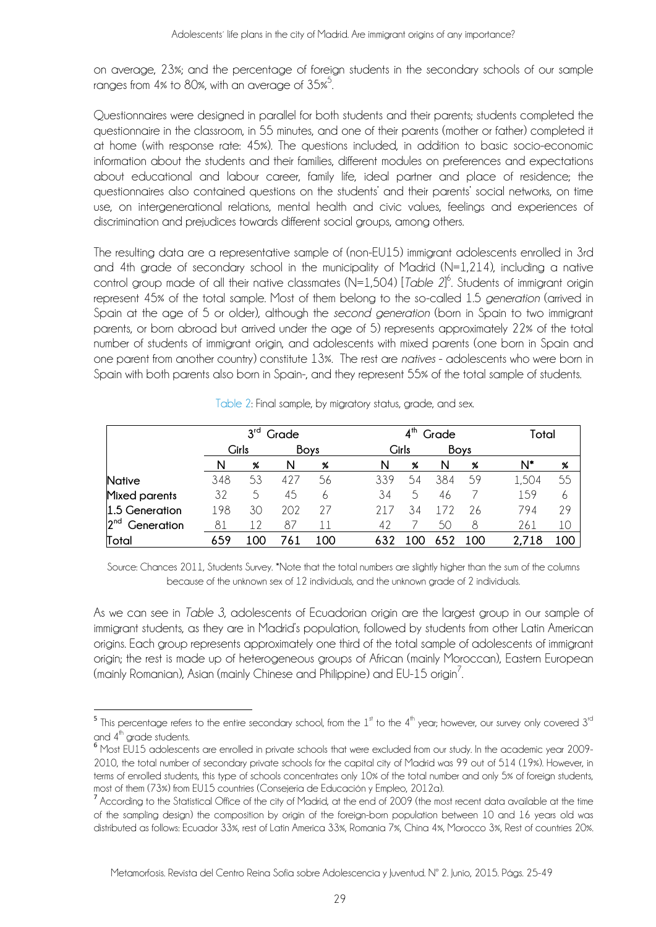on average, 23%; and the percentage of foreign students in the secondary schools of our sample ranges from 4% to 80%, with an average of 35% $^5$ .

Questionnaires were designed in parallel for both students and their parents; students completed the questionnaire in the classroom, in 55 minutes, and one of their parents (mother or father) completed it at home (with response rate: 45%). The questions included, in addition to basic socio-economic information about the students and their families, different modules on preferences and expectations about educational and labour career, family life, ideal partner and place of residence; the questionnaires also contained questions on the students' and their parents' social networks, on time use, on intergenerational relations, mental health and civic values, feelings and experiences of discrimination and prejudices towards different social groups, among others.

The resulting data are a representative sample of (non-EU15) immigrant adolescents enrolled in 3rd and 4th grade of secondary school in the municipality of Madrid (N=1,214), including a native control group made of all their native classmates (N=1,504) [*Table 2*] 6 . Students of immigrant origin represent 45% of the total sample. Most of them belong to the so-called 1.5 *generation* (arrived in Spain at the age of 5 or older), although the *second generation* (born in Spain to two immigrant parents, or born abroad but arrived under the age of 5) represents approximately 22% of the total number of students of immigrant origin, and adolescents with mixed parents (one born in Spain and one parent from another country) constitute 13%. The rest are *natives* - adolescents who were born in Spain with both parents also born in Spain-, and they represent 55% of the total sample of students.

|                               |     | $3^{\mathsf{rd}}$<br>Grade |             |     | $4^{\text{th}}$<br>Grade |        |     |     | Total |     |
|-------------------------------|-----|----------------------------|-------------|-----|--------------------------|--------|-----|-----|-------|-----|
|                               |     | Girls                      | <b>Boys</b> |     | <b>Boys</b><br>Girls     |        |     |     |       |     |
|                               | N   | %                          | N           | %   | N                        | %      | N   | %   | N*    | %   |
| <b>Native</b>                 | 348 | 53                         | 427         | 56  | 339                      | 54     | 384 | 59  | 1,504 | 55  |
| Mixed parents                 | 32  | 5                          | 45          | 6   | 34                       | $\sim$ | 46  |     | 159   | 6   |
| 1.5 Generation                | 198 | 30                         | 202         | 27  | 217                      | 34     |     | 26  | 794   | 29  |
| 2 <sup>nd</sup><br>Generation | 81  |                            | 87          | 1   | 42                       |        | 50  | 8   | 261   | 10  |
| Total                         | 659 | .oc                        |             | 100 |                          |        |     | 100 |       | 100 |

Table 2: Final sample, by migratory status, grade, and sex.

Source: Chances 2011, Students Survey. \*Note that the total numbers are slightly higher than the sum of the columns because of the unknown sex of 12 individuals, and the unknown grade of 2 individuals.

As we can see in *Table 3*, adolescents of Ecuadorian origin are the largest group in our sample of immigrant students, as they are in Madrid's population, followed by students from other Latin American origins. Each group represents approximately one third of the total sample of adolescents of immigrant origin; the rest is made up of heterogeneous groups of African (mainly Moroccan), Eastern European (mainly Romanian), Asian (mainly Chinese and Philippine) and EU-15 origin $^7$ .

 $5$  This percentage refers to the entire secondary school, from the  $1<sup>st</sup>$  to the  $4<sup>th</sup>$  year; however, our survey only covered  $3<sup>rd</sup>$ and 4<sup>th</sup> grade students.<br><sup>6</sup> Most EU15 adolescents are enrolled in private schools that were excluded from our study. In the academic year 2009-

<sup>2010,</sup> the total number of secondary private schools for the capital city of Madrid was 99 out of 514 (19%). However, in terms of enrolled students, this type of schools concentrates only 10% of the total number and only 5% of foreign students, most of them (73%) from EU15 countries (Consejería de Educación y Empleo, 2012a).

<sup>7</sup> According to the Statistical Office of the city of Madrid, at the end of 2009 (the most recent data available at the time of the sampling design) the composition by origin of the foreign-born population between 10 and 16 years old was distributed as follows: Ecuador 33%, rest of Latin America 33%, Romania 7%, China 4%, Morocco 3%, Rest of countries 20%.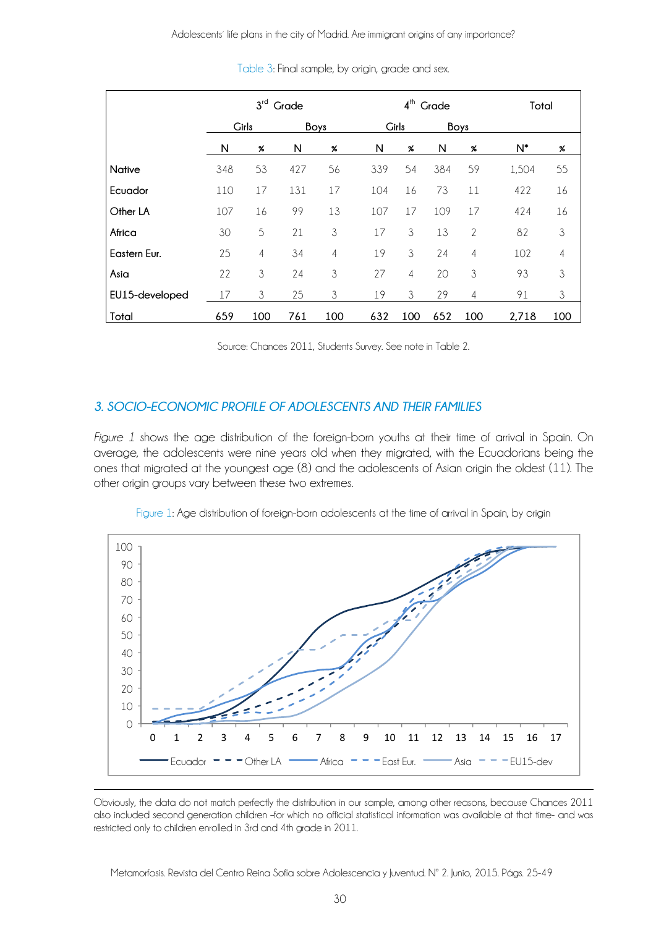|                | $3rd$ Grade |                |      |     | $4th$ Grade |                      |     |                | Total |     |
|----------------|-------------|----------------|------|-----|-------------|----------------------|-----|----------------|-------|-----|
|                | Girls       |                | Boys |     |             | <b>Girls</b><br>Boys |     |                |       |     |
|                | N           | %              | N    | %   | N           | %                    | N   | %              | $N^*$ | %   |
| <b>Native</b>  | 348         | 53             | 427  | 56  | 339         | 54                   | 384 | 59             | 1,504 | 55  |
| Ecuador        | 110         | 17             | 131  | 17  | 104         | 16                   | 73  | 11             | 422   | 16  |
| Other LA       | 107         | 16             | 99   | 13  | 107         | 17                   | 109 | 17             | 424   | 16  |
| Africa         | 30          | 5              | 21   | 3   | 17          | 3                    | 13  | 2              | 82    | 3   |
| Eastern Eur.   | 25          | $\overline{4}$ | 34   | 4   | 19          | 3                    | 24  | $\overline{4}$ | 102   | 4   |
| Asia           | 22          | 3              | 24   | 3   | 27          | 4                    | 20  | 3              | 93    | 3   |
| EU15-developed | 17          | 3              | 25   | 3   | 19          | 3                    | 29  | $\overline{4}$ | 91    | 3   |
| Total          | 659         | 100            | 761  | 100 | 632         | 100                  | 652 | 100            | 2,718 | 100 |

Table 3: Final sample, by origin, grade and sex.

Source: Chances 2011, Students Survey. See note in Table 2.

#### *3. SOCIO-ECONOMIC PROFILE OF ADOLESCENTS AND THEIR FAMILIES*

*Figure 1* shows the age distribution of the foreign-born youths at their time of arrival in Spain. On average, the adolescents were nine years old when they migrated, with the Ecuadorians being the ones that migrated at the youngest age (8) and the adolescents of Asian origin the oldest (11). The other origin groups vary between these two extremes.



Figure 1: Age distribution of foreign-born adolescents at the time of arrival in Spain, by origin

Obviously, the data do not match perfectly the distribution in our sample, among other reasons, because Chances 2011 also included second generation children –for which no official statistical information was available at that time- and was restricted only to children enrolled in 3rd and 4th grade in 2011.

Metamorfosis. Revista del Centro Reina Sofía sobre Adolescencia y Juventud. Nº 2. Junio, 2015. Págs. 25-49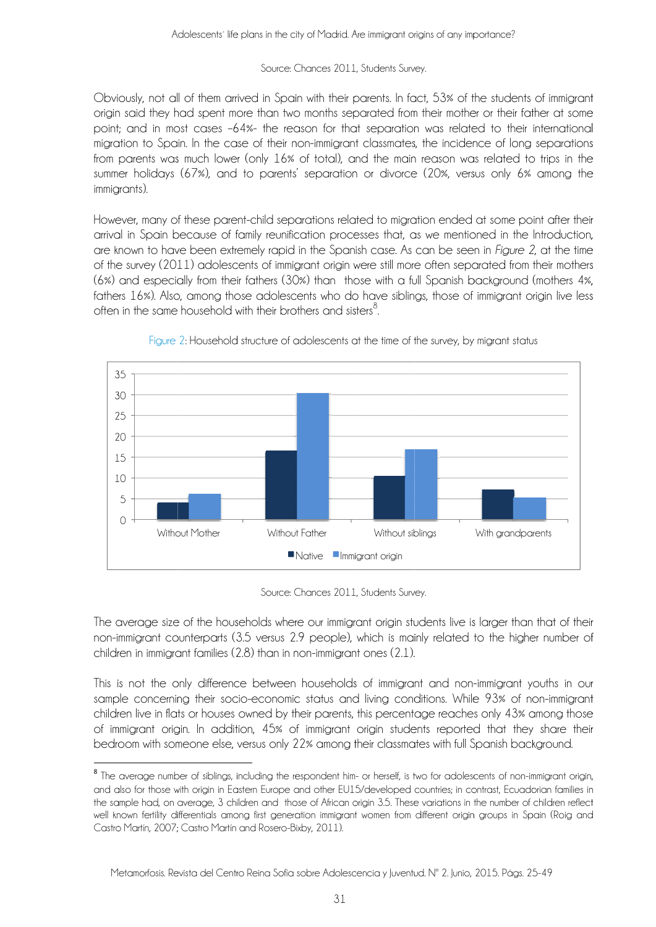#### Source: Chances 2011, Students Survey.

Obviously, not all of them arrived in Spain with their parents. In fact, 53% of the students of immigrant origin said they had spent more than two months separated from their mother or their father at some point: and in most cases -64%- the reason for that separation was related to their international migration to Spain. In the case of their non-immigrant classmates, the incidence of long separations from parents was much lower (only 16% of total), and the main reason was related to trips in the summer holidays (67%), and to parents' separation or divorce (20%, versus only 6% among the immiarants).

However, many of these parent-child separations related to migration ended at some point after their arrival in Spain because of family reunification processes that, as we mentioned in the Introduction, are known to have been extremely rapid in the Spanish case. As can be seen in *Figure 2*, at the time of the survey (2011) adolescents of immigrant origin were still more often separated from their mothers (6%) and especially from their fathers (30%) than those with a full Spanish background (mothers 4%, fathers 16%). Also, among those adolescents who do have siblings, those of immigrant origin live less often in the same household with their brothers and sisters<sup>8</sup>.



Figure 2: Household structure of adolescents at the time of the survey, by migrant status

Source: Chances 2011, Students Survey.

The average size of the households where our immigrant origin students live is larger than that of their non-immigrant counterparts (3.5 versus 2.9 people), which is mainly related to the higher number of children in immigrant families (2.8) than in non-immigrant ones (2.1).

This is not the only difference between households of immigrant and non-immigrant youths in our sample concerning their socio-economic status and living conditions. While 93% of non-immigrant children live in flats or houses owned by their parents, this percentage reaches only 43% among those of immigrant origin. In addition, 45% of immigrant origin students reported that they share their bedroom with someone else, versus only 22% among their classmates with full Spanish background.

<sup>&</sup>lt;sup>8</sup> The average number of siblings, including the respondent him- or herself, is two for adolescents of non-immigrant origin, and also for those with origin in Eastern Europe and other EU15/developed countries; in contrast, Ecuadorian families in the sample had, on average, 3 children and those of African origin 3.5. These variations in the number of children reflect well known fertility differentials among first generation immigrant women from different origin groups in Spain (Roig and Castro Martín, 2007: Castro Martín and Rosero-Bixby, 2011).

Metamorfosis. Revista del Centro Reina Sofía sobre Adolescencia y Juventud. Nº 2. Junio, 2015. Págs. 25-49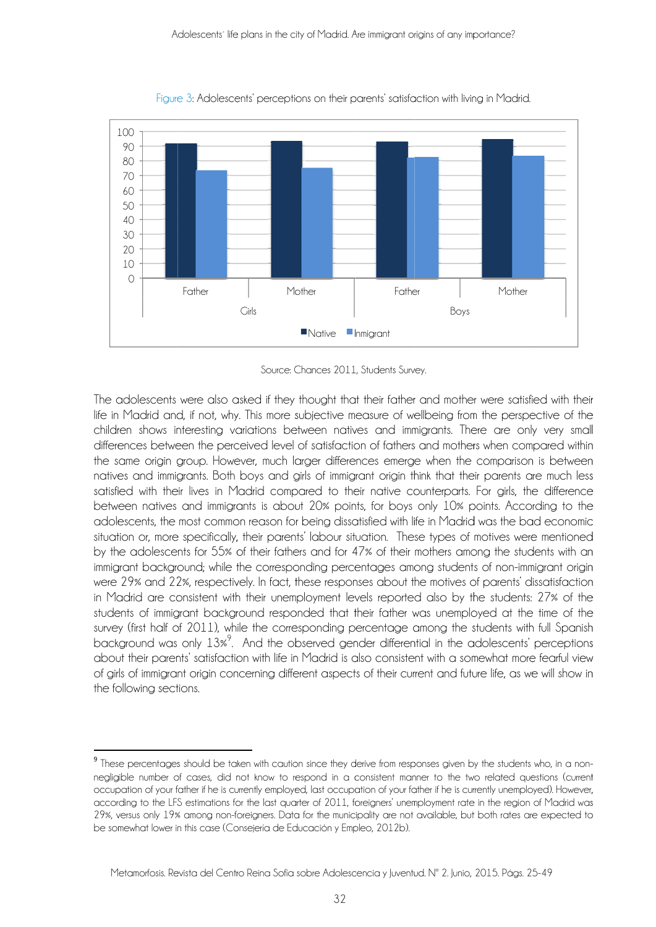

Figure 3: Adolescents' perceptions on their parents' satisfaction with living in Madrid.

Source: Chances 2011, Students Survey.

The adolescents were also asked if they thought that their father and mother were satisfied with their life in Madrid and, if not, why. This more subjective measure of wellbeing from the perspective of the children shows interesting variations between natives and immigrants. There are only very small differences between the perceived level of satisfaction of fathers and mothers when compared within the same origin group. However, much larger differences emerge when the comparison is between natives and immigrants. Both boys and girls of immigrant origin think that their parents are much less satisfied with their lives in Madrid compared to their native counterparts. For girls, the difference between natives and immigrants is about 20% points, for boys only 10% points. According to the adolescents, the most common reason for being dissatisfied with life in Madrid was the bad economic situation or, more specifically, their parents' labour situation. These types of motives were mentioned by the adolescents for 55% of their fathers and for 47% of their mothers among the students with an immigrant background; while the corresponding percentages among students of non-immigrant origin were 29% and 22%, respectively. In fact, these responses about the motives of parents' dissatisfaction in Madrid are consistent with their unemployment levels reported also by the students: 27% of the students of immigrant background responded that their father was unemployed at the time of the survey (first half of 2011), while the corresponding percentage among the students with full Spanish background was only 13%<sup>9</sup>. And the observed gender differential in the adolescents' perceptions about their parents' satisfaction with life in Madrid is also consistent with a somewhat more fearful view of girls of immigrant origin concerning different aspects of their current and future life, as we will show in the following sections.

<sup>&</sup>lt;sup>9</sup> These percentages should be taken with caution since they derive from responses given by the students who, in a nonnegligible number of cases, did not know to respond in a consistent manner to the two related questions (current occupation of your father if he is currently employed, last occupation of your father if he is currently unemployed). However, according to the LFS estimations for the last quarter of 2011, foreigners' unemployment rate in the region of Madrid was 29%, versus only 19% among non-foreigners. Data for the municipality are not available, but both rates are expected to be somewhat lower in this case (Consejería de Educación y Empleo, 2012b).

Metamorfosis. Revista del Centro Reina Sofía sobre Adolescencia y Juventud. Nº 2. Junio, 2015. Págs. 25-49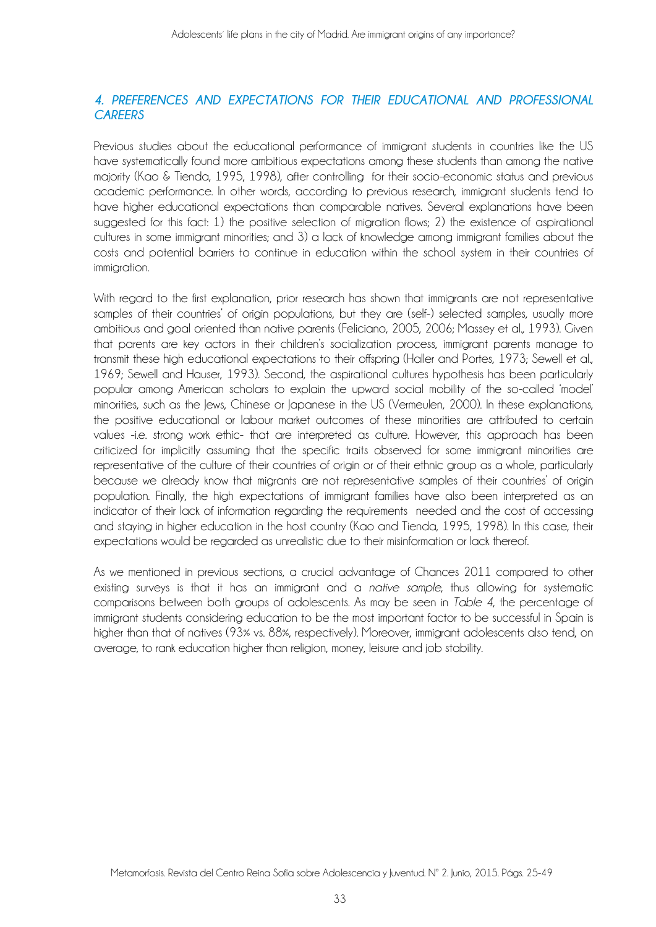### *4. PREFERENCES AND EXPECTATIONS FOR THEIR EDUCATIONAL AND PROFESSIONAL CAREERS*

Previous studies about the educational performance of immigrant students in countries like the US have systematically found more ambitious expectations among these students than among the native majority (Kao & Tienda, 1995, 1998), after controlling for their socio-economic status and previous academic performance. In other words, according to previous research, immigrant students tend to have higher educational expectations than comparable natives. Several explanations have been suggested for this fact: 1) the positive selection of migration flows; 2) the existence of aspirational cultures in some immigrant minorities; and 3) a lack of knowledge among immigrant families about the costs and potential barriers to continue in education within the school system in their countries of immiaration.

With regard to the first explanation, prior research has shown that immigrants are not representative samples of their countries' of origin populations, but they are (self-) selected samples, usually more ambitious and goal oriented than native parents (Feliciano, 2005, 2006; Massey et al., 1993). Given that parents are key actors in their children's socialization process, immigrant parents manage to transmit these high educational expectations to their offspring (Haller and Portes, 1973; Sewell et al., 1969; Sewell and Hauser, 1993). Second, the aspirational cultures hypothesis has been particularly popular among American scholars to explain the upward social mobility of the so-called 'model' minorities, such as the Jews, Chinese or Japanese in the US (Vermeulen, 2000). In these explanations, the positive educational or labour market outcomes of these minorities are attributed to certain values -i.e. strong work ethic- that are interpreted as culture. However, this approach has been criticized for implicitly assuming that the specific traits observed for some immigrant minorities are representative of the culture of their countries of origin or of their ethnic group as a whole, particularly because we already know that migrants are not representative samples of their countries' of origin population. Finally, the high expectations of immigrant families have also been interpreted as an indicator of their lack of information regarding the requirements needed and the cost of accessing and staying in higher education in the host country (Kao and Tienda, 1995, 1998). In this case, their expectations would be regarded as unrealistic due to their misinformation or lack thereof.

As we mentioned in previous sections, a crucial advantage of Chances 2011 compared to other existing surveys is that it has an immigrant and a *native sample*, thus allowing for systematic comparisons between both groups of adolescents. As may be seen in *Table 4*, the percentage of immigrant students considering education to be the most important factor to be successful in Spain is higher than that of natives (93% vs. 88%, respectively). Moreover, immigrant adolescents also tend, on average, to rank education higher than religion, money, leisure and job stability.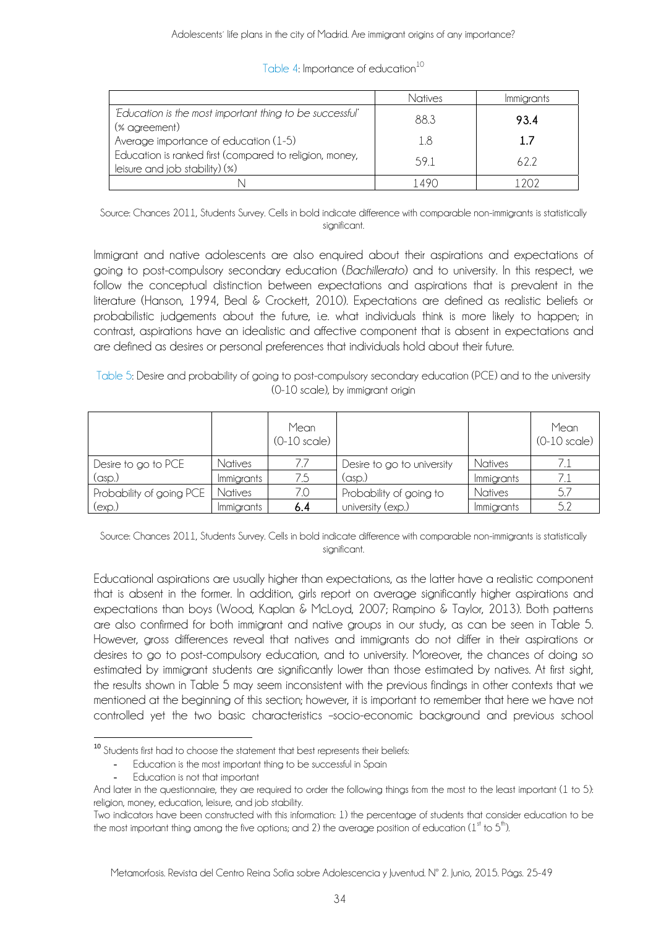|                                                                                           | Natives | Immigrants |
|-------------------------------------------------------------------------------------------|---------|------------|
| 'Education is the most important thing to be successful'<br>(% agreement)                 | 88.3    | 93.4       |
| Average importance of education (1-5)                                                     | 18      | 17         |
| Education is ranked first (compared to religion, money,<br>leisure and job stability) (%) | 591     | 622        |
|                                                                                           |         |            |

#### Table 4: Importance of education<sup>10</sup>

Source: Chances 2011, Students Survey. Cells in bold indicate difference with comparable non-immigrants is statistically sianificant.

Immigrant and native adolescents are also enquired about their aspirations and expectations of going to post-compulsory secondary education (*Bachillerato*) and to university. In this respect, we follow the conceptual distinction between expectations and aspirations that is prevalent in the literature (Hanson, 1994, Beal & Crockett, 2010). Expectations are defined as realistic beliefs or probabilistic judgements about the future, i.e. what individuals think is more likely to happen; in contrast, aspirations have an idealistic and affective component that is absent in expectations and are defined as desires or personal preferences that individuals hold about their future.

Table 5: Desire and probability of going to post-compulsory secondary education (PCE) and to the university (0-10 scale), by immigrant origin

|                          |            | Mean<br>$(0-10 \text{ scale})$ |                            |                   | Mean<br>$(0-10 \text{ scale})$ |
|--------------------------|------------|--------------------------------|----------------------------|-------------------|--------------------------------|
| Desire to go to PCE      | Natives    |                                | Desire to go to university | Natives           |                                |
| $(\text{asp.})$          | Immigrants | 7.5                            | (asp.)                     | <i>Immigrants</i> |                                |
| Probability of going PCE | Natives    |                                | Probability of going to    | Natives           |                                |
| (exp.)                   | Immigrants | 6.4                            | university (exp.)          | <i>Immigrants</i> | 5.2                            |

Source: Chances 2011, Students Survey. Cells in bold indicate difference with comparable non-immigrants is statistically significant.

Educational aspirations are usually higher than expectations, as the latter have a realistic component that is absent in the former. In addition, girls report on average significantly higher aspirations and expectations than boys (Wood, Kaplan & McLoyd, 2007; Rampino & Taylor, 2013). Both patterns are also confirmed for both immigrant and native groups in our study, as can be seen in Table 5. However, gross differences reveal that natives and immigrants do not differ in their aspirations or desires to go to post-compulsory education, and to university. Moreover, the chances of doing so estimated by immigrant students are significantly lower than those estimated by natives. At first sight, the results shown in Table 5 may seem inconsistent with the previous findings in other contexts that we mentioned at the beginning of this section; however, it is important to remember that here we have not controlled yet the two basic characteristics –socio-economic background and previous school

 $10$  Students first had to choose the statement that best represents their beliefs:

<sup>-</sup> Education is the most important thing to be successful in Spain

<sup>-</sup> Education is not that important

And later in the questionnaire, they are required to order the following things from the most to the least important (1 to 5): religion, money, education, leisure, and job stability.

Two indicators have been constructed with this information: 1) the percentage of students that consider education to be the most important thing among the five options; and 2) the average position of education  $(1<sup>st</sup>$  to  $5<sup>th</sup>)$ .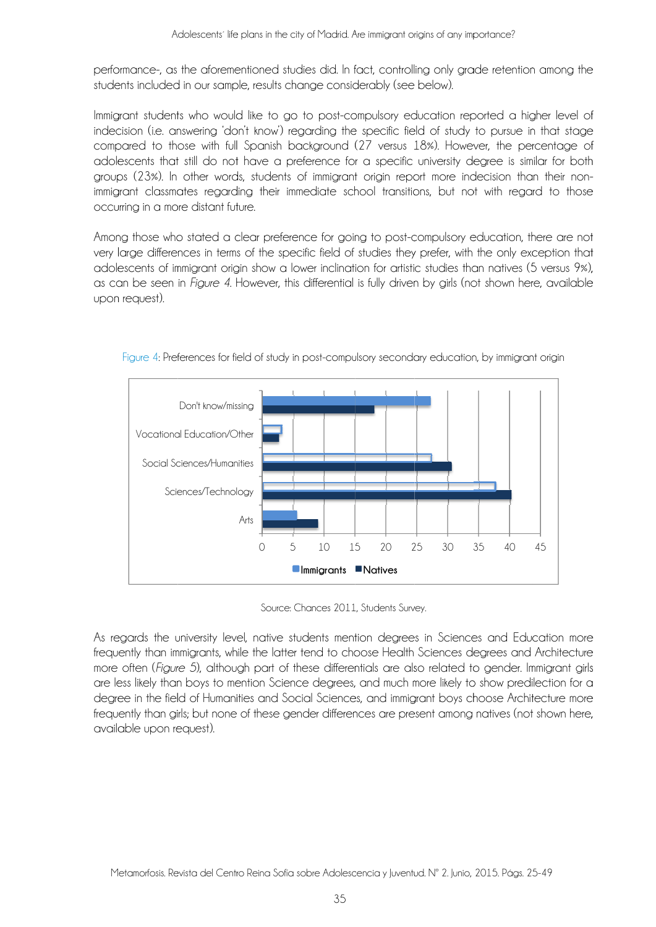performance-, as the aforementioned studies did. In fact, controlling only grade retention among the students included in our sample, results change considerably (see below).

Immigrant students who would like to go to post-compulsory education reported a higher level of indecision (i.e. answering 'don't know') regarding the specific field of study to pursue in that stage compared to those with full Spanish background (27 versus 18%). However, the percentage of adolescents that still do not have a preference for a specific university degree is similar for both groups (23%). In other words, students of immigrant origin report more indecision than their nonimmigrant classmates regarding their immediate school transitions, but not with regard to those occurring in a more distant future.

Among those who stated a clear preference for going to post-compulsory education, there are not very large differences in terms of the specific field of studies they prefer, with the only exception that adolescents of immigrant origin show a lower inclination for artistic studies than natives (5 versus 9%), as can be seen in Figure 4. However, this differential is fully driven by girls (not shown here, available upon request).



Figure 4: Preferences for field of study in post-compulsory secondary education, by immigrant origin

Source: Chances 2011, Students Survey.

As regards the university level, native students mention degrees in Sciences and Education more frequently than immigrants, while the latter tend to choose Health Sciences degrees and Architecture more often (Figure 5), although part of these differentials are also related to gender. Immigrant girls are less likely than boys to mention Science dearees, and much more likely to show predilection for a degree in the field of Humanities and Social Sciences, and immigrant boys choose Architecture more frequently than girls; but none of these gender differences are present among natives (not shown here, available upon request).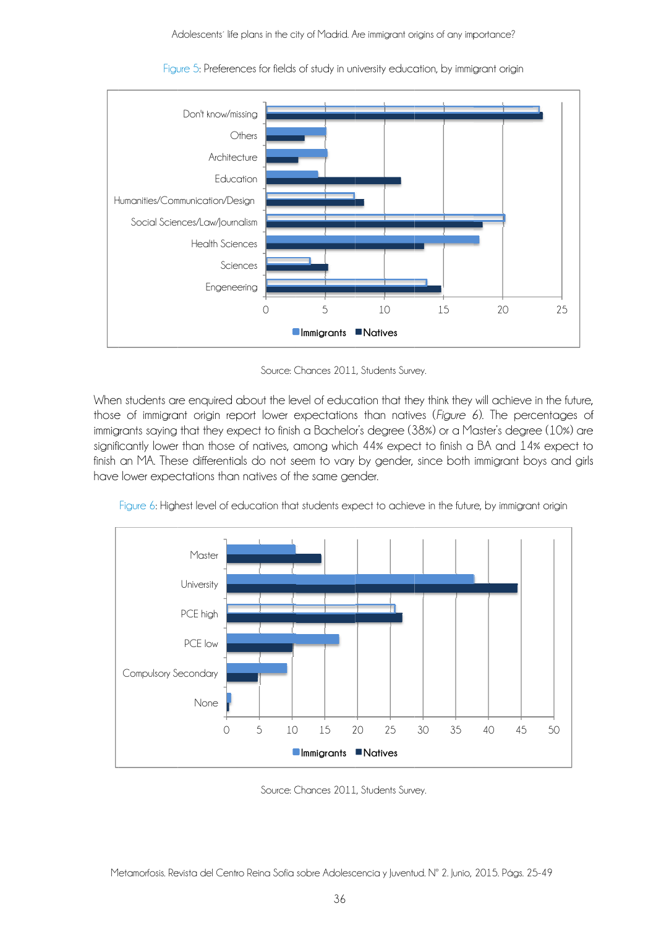

Figure 5: Preferences for fields of study in university education, by immigrant origin

Source: Chances 2011, Students Survey.

When students are enquired about the level of education that they think they will achieve in the future, those of immigrant origin report lower expectations than natives (Figure 6). The percentages of immigrants saying that they expect to finish a Bachelor's degree (38%) or a Master's degree (10%) are significantly lower than those of natives, among which 44% expect to finish a BA and 14% expect to finish an MA. These differentials do not seem to vary by gender, since both immigrant boys and girls have lower expectations than natives of the same gender.



Figure 6: Highest level of education that students expect to achieve in the future, by immigrant origin

Source: Chances 2011, Students Survey.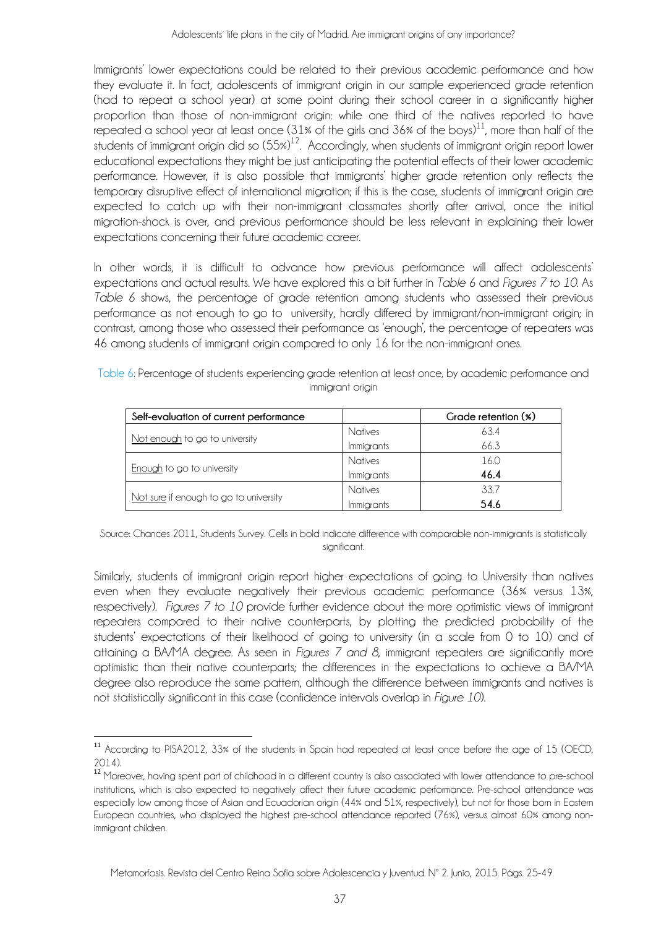Immigrants' lower expectations could be related to their previous academic performance and how they evaluate it. In fact, adolescents of immigrant origin in our sample experienced grade retention (had to repeat a school year) at some point during their school career in a significantly higher proportion than those of non-immigrant origin: while one third of the natives reported to have repeated a school year at least once (31% of the girls and 36% of the boys)<sup>11</sup>, more than half of the students of immigrant origin did so  $(55%)^{12}$ . Accordingly, when students of immigrant origin report lower educational expectations they might be just anticipating the potential effects of their lower academic performance. However, it is also possible that immigrants' higher grade retention only reflects the temporary disruptive effect of international migration; if this is the case, students of immigrant origin are expected to catch up with their non-immigrant classmates shortly after arrival, once the initial migration-shock is over, and previous performance should be less relevant in explaining their lower expectations concerning their future academic career.

In other words, it is difficult to advance how previous performance will affect adolescents' expectations and actual results. We have explored this a bit further in *Table 6* and *Figures 7 to 10*. As *Table 6* shows, the percentage of grade retention among students who assessed their previous performance as not enough to go to university, hardly differed by immigrant/non-immigrant origin; in contrast, among those who assessed their performance as 'enough', the percentage of repeaters was 46 among students of immigrant origin compared to only 16 for the non-immigrant ones.

| Self-evaluation of current performance |                   | Grade retention (%) |
|----------------------------------------|-------------------|---------------------|
|                                        | Natives           | 63.4                |
| Not enough to go to university         | <i>Immigrants</i> | 66.3                |
|                                        | Natives           | 16.0                |
| <b>Enough</b> to go to university      | Immigrants        | 46.4                |
|                                        | Natives           | 33.7                |
| Not sure if enough to go to university | Immigrants        | 54.6                |

Table 6: Percentage of students experiencing grade retention at least once, by academic performance and immigrant origin

Source: Chances 2011, Students Survey. Cells in bold indicate difference with comparable non-immigrants is statistically sianificant

Similarly, students of immigrant origin report higher expectations of going to University than natives even when they evaluate negatively their previous academic performance (36% versus 13%, respectively). *Figures 7 to 10* provide further evidence about the more optimistic views of immigrant repeaters compared to their native counterparts, by plotting the predicted probability of the students' expectations of their likelihood of going to university (in a scale from 0 to 10) and of attaining a BA/MA degree. As seen in *Figures 7 and 8*, immigrant repeaters are significantly more optimistic than their native counterparts; the differences in the expectations to achieve a BA/MA degree also reproduce the same pattern, although the difference between immigrants and natives is not statistically significant in this case (confidence intervals overlap in *Figure 10*).

<sup>11</sup> According to PISA2012, 33% of the students in Spain had repeated at least once before the age of 15 (OECD, 2014).

<sup>&</sup>lt;sup>12</sup> Moreover, having spent part of childhood in a different country is also associated with lower attendance to pre-school institutions, which is also expected to negatively affect their future academic performance. Pre-school attendance was especially low among those of Asian and Ecuadorian origin (44% and 51%, respectively), but not for those born in Eastern European countries, who displayed the highest pre-school attendance reported (76%), versus almost 60% among nonimmigrant children.

Metamorfosis. Revista del Centro Reina Sofía sobre Adolescencia y Juventud. Nº 2. Junio, 2015. Págs. 25-49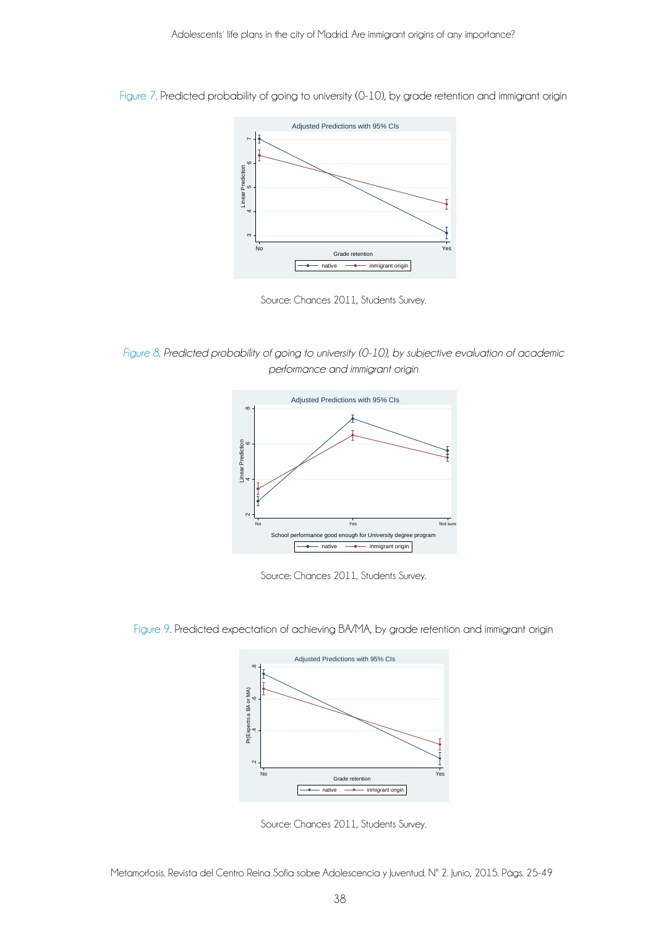

Figure 7. Predicted probability of going to university (0-10), by grade retention and immigrant origin



*Figure 8. Predicted probability of going to university (0-10), by subjective evaluation of academic performance and immigrant origin* 



Source: Chances 2011, Students Survey.



Figure 9. Predicted expectation of achieving BA/MA, by grade retention and immigrant origin

Source: Chances 2011, Students Survey.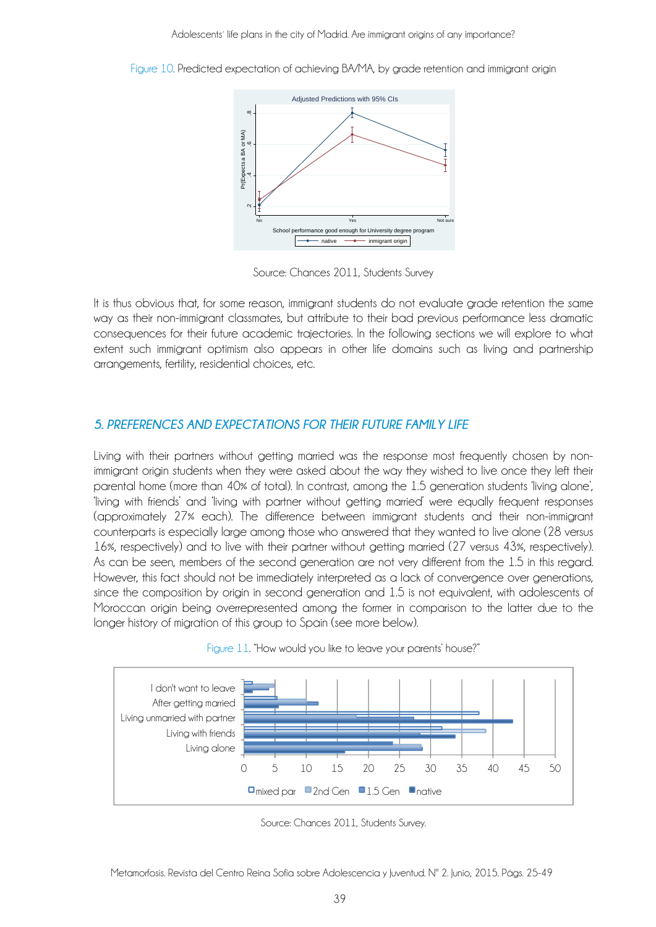Figure 10. Predicted expectation of achieving BA/MA, by grade retention and immigrant origin



Source: Chances 2011, Students Survey

It is thus obvious that, for some reason, immigrant students do not evaluate grade retention the same way as their non-immigrant classmates, but attribute to their bad previous performance less dramatic consequences for their future academic trajectories. In the following sections we will explore to what extent such immigrant optimism also appears in other life domains such as living and partnership arrangements, fertility, residential choices, etc.

## *5. PREFERENCES AND EXPECTATIONS FOR THEIR FUTURE FAMILY LIFE*

Living with their partners without getting married was the response most frequently chosen by nonimmigrant origin students when they were asked about the way they wished to live once they left their parental home (more than 40% of total). In contrast, among the 1.5 generation students 'living alone', 'living with friends' and 'living with partner without getting married' were equally frequent responses (approximately 27% each). The difference between immigrant students and their non-immigrant counterparts is especially large among those who answered that they wanted to live alone (28 versus 16%, respectively) and to live with their partner without getting married (27 versus 43%, respectively). As can be seen, members of the second generation are not very different from the 1.5 in this regard. However, this fact should not be immediately interpreted as a lack of convergence over generations, since the composition by origin in second generation and 1.5 is not equivalent, with adolescents of Moroccan origin being overrepresented among the former in comparison to the latter due to the longer history of migration of this group to Spain (see more below).



Figure 11. "How would you like to leave your parents' house?"

Source: Chances 2011, Students Survey.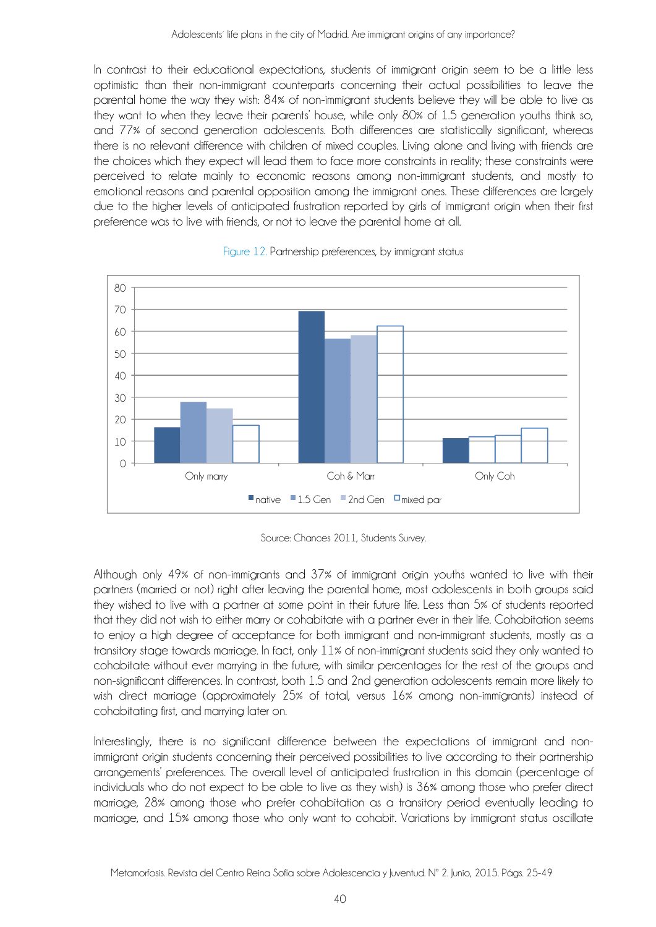In contrast to their educational expectations, students of immigrant origin seem to be a little less optimistic than their non-immigrant counterparts concerning their actual possibilities to leave the parental home the way they wish: 84% of non-immigrant students believe they will be able to live as they want to when they leave their parents' house, while only 80% of 1.5 generation youths think so, and 77% of second generation adolescents. Both differences are statistically significant, whereas there is no relevant difference with children of mixed couples. Living alone and living with friends are the choices which they expect will lead them to face more constraints in reality; these constraints were perceived to relate mainly to economic reasons among non-immigrant students, and mostly to emotional reasons and parental opposition among the immigrant ones. These differences are largely due to the higher levels of anticipated frustration reported by girls of immigrant origin when their first preference was to live with friends, or not to leave the parental home at all.





Source: Chances 2011, Students Survey.

Although only 49% of non-immigrants and 37% of immigrant origin youths wanted to live with their partners (married or not) right after leaving the parental home, most adolescents in both groups said they wished to live with a partner at some point in their future life. Less than 5% of students reported that they did not wish to either marry or cohabitate with a partner ever in their life. Cohabitation seems to enjoy a high degree of acceptance for both immigrant and non-immigrant students, mostly as a transitory stage towards marriage. In fact, only 11% of non-immigrant students said they only wanted to cohabitate without ever marrying in the future, with similar percentages for the rest of the groups and non-significant differences. In contrast, both 1.5 and 2nd generation adolescents remain more likely to wish direct marriage (approximately 25% of total, versus 16% among non-immigrants) instead of cohabitating first, and marrying later on.

Interestingly, there is no significant difference between the expectations of immigrant and nonimmigrant origin students concerning their perceived possibilities to live according to their partnership arrangements' preferences. The overall level of anticipated frustration in this domain (percentage of individuals who do not expect to be able to live as they wish) is 36% among those who prefer direct marriage, 28% among those who prefer cohabitation as a transitory period eventually leading to marriage, and 15% among those who only want to cohabit. Variations by immigrant status oscillate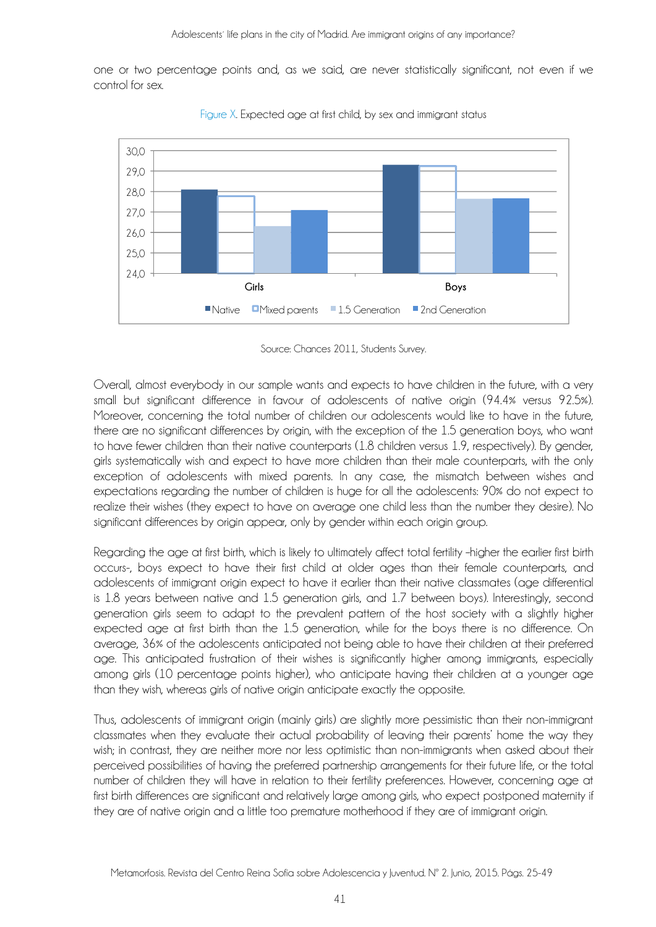one or two percentage points and, as we said, are never statistically significant, not even if we control for sex.



Figure X. Expected age at first child, by sex and immigrant status

Overall, almost everybody in our sample wants and expects to have children in the future, with a very small but significant difference in favour of adolescents of native origin (94.4% versus 92.5%). Moreover, concerning the total number of children our adolescents would like to have in the future, there are no significant differences by origin, with the exception of the 1.5 generation boys, who want to have fewer children than their native counterparts (1.8 children versus 1.9, respectively). By gender, girls systematically wish and expect to have more children than their male counterparts, with the only exception of adolescents with mixed parents. In any case, the mismatch between wishes and expectations regarding the number of children is huge for all the adolescents: 90% do not expect to realize their wishes (they expect to have on average one child less than the number they desire). No significant differences by origin appear, only by gender within each origin group.

Regarding the age at first birth, which is likely to ultimately affect total fertility –higher the earlier first birth occurs-, boys expect to have their first child at older ages than their female counterparts, and adolescents of immigrant origin expect to have it earlier than their native classmates (age differential is 1.8 years between native and 1.5 generation girls, and 1.7 between boys). Interestingly, second generation girls seem to adapt to the prevalent pattern of the host society with a slightly higher expected age at first birth than the 1.5 generation, while for the boys there is no difference. On average, 36% of the adolescents anticipated not being able to have their children at their preferred age. This anticipated frustration of their wishes is significantly higher among immigrants, especially among girls (10 percentage points higher), who anticipate having their children at a younger age than they wish, whereas girls of native origin anticipate exactly the opposite.

Thus, adolescents of immigrant origin (mainly girls) are slightly more pessimistic than their non-immigrant classmates when they evaluate their actual probability of leaving their parents' home the way they wish; in contrast, they are neither more nor less optimistic than non-immigrants when asked about their perceived possibilities of having the preferred partnership arrangements for their future life, or the total number of children they will have in relation to their fertility preferences. However, concerning age at first birth differences are significant and relatively large among girls, who expect postponed maternity if they are of native origin and a little too premature motherhood if they are of immigrant origin.

Source: Chances 2011, Students Survey.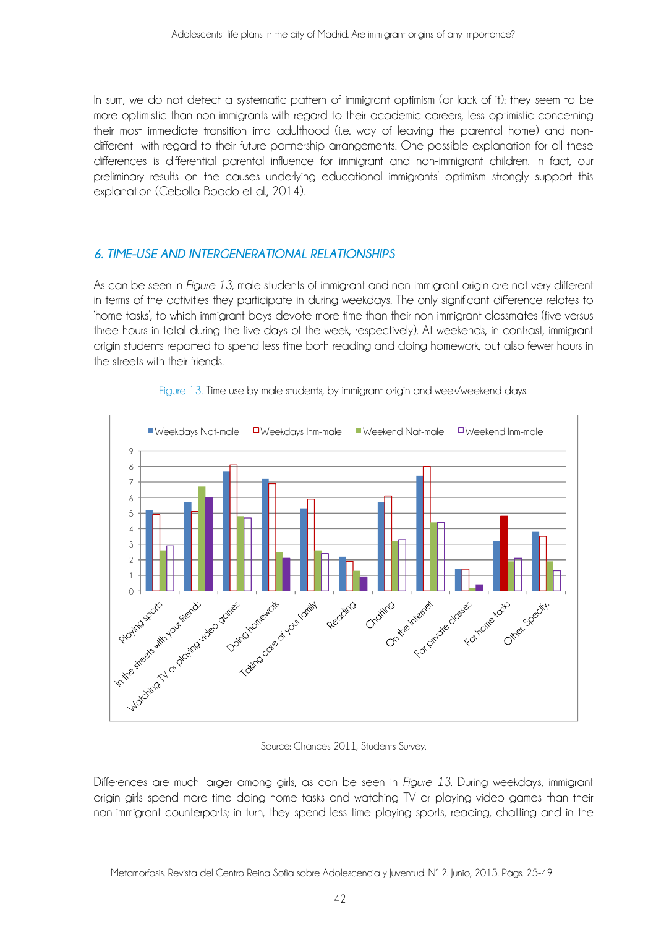In sum, we do not detect a systematic pattern of immigrant optimism (or lack of it): they seem to be more optimistic than non-immigrants with regard to their academic careers, less optimistic concerning their most immediate transition into adulthood (i.e. way of leaving the parental home) and nondifferent with regard to their future partnership arrangements. One possible explanation for all these differences is differential parental influence for immigrant and non-immigrant children. In fact, our preliminary results on the causes underlying educational immigrants' optimism strongly support this explanation (Cebolla-Boado et al., 2014).

# *6. TIME-USE AND INTERGENERATIONAL RELATIONSHIPS*

As can be seen in *Figure 13*, male students of immigrant and non-immigrant origin are not very different in terms of the activities they participate in during weekdays. The only significant difference relates to 'home tasks', to which immigrant boys devote more time than their non-immigrant classmates (five versus three hours in total during the five days of the week, respectively). At weekends, in contrast, immigrant origin students reported to spend less time both reading and doing homework, but also fewer hours in the streets with their friends.



Figure 13. Time use by male students, by immigrant origin and week/weekend days.

Source: Chances 2011, Students Survey.

Differences are much larger among girls, as can be seen in *Figure 13*. During weekdays, immigrant origin girls spend more time doing home tasks and watching TV or playing video games than their non-immigrant counterparts; in turn, they spend less time playing sports, reading, chatting and in the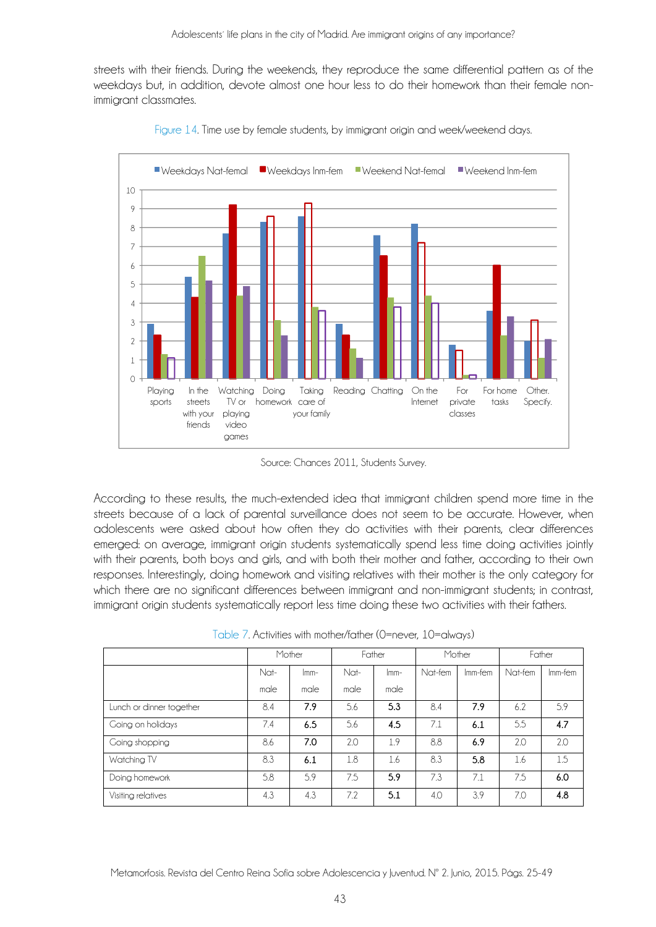streets with their friends. During the weekends, they reproduce the same differential pattern as of the weekdays but, in addition, devote almost one hour less to do their homework than their female nonimmigrant classmates.



Figure 14. Time use by female students, by immigrant origin and week/weekend days.

Source: Chances 2011, Students Survey.

According to these results, the much-extended idea that immigrant children spend more time in the streets because of a lack of parental surveillance does not seem to be accurate. However, when adolescents were asked about how often they do activities with their parents, clear differences emerged: on average, immigrant origin students systematically spend less time doing activities jointly with their parents, both boys and girls, and with both their mother and father, according to their own responses. Interestingly, doing homework and visiting relatives with their mother is the only category for which there are no significant differences between immigrant and non-immigrant students; in contrast, immigrant origin students systematically report less time doing these two activities with their fathers.

|                          | Mother |        | Father |        | Mother  |         | Father  |         |
|--------------------------|--------|--------|--------|--------|---------|---------|---------|---------|
|                          | Nat-   | $lmm-$ | Nat-   | $lmm-$ | Nat-fem | Imm-fem | Nat-fem | lmm-fem |
|                          | male   | male   | male   | male   |         |         |         |         |
| Lunch or dinner together | 8.4    | 7.9    | 5.6    | 5.3    | 8.4     | 7.9     | 6.2     | 5.9     |
| Going on holidays        | 7.4    | 6.5    | 5.6    | 4.5    | 7.1     | 6.1     | 5.5     | 4.7     |
| Going shopping           | 8.6    | 7.0    | 2.0    | 1.9    | 8.8     | 6.9     | 2.0     | 2.0     |
| Watching TV              | 8.3    | 6.1    | 1.8    | 1.6    | 8.3     | 5.8     | 1.6     | 1.5     |
| Doing homework           | 5.8    | 5.9    | 7.5    | 5.9    | 7.3     | 7.1     | 7.5     | 6.0     |
| Visiting relatives       | 4.3    | 4.3    | 7.2    | 5.1    | 4.0     | 3.9     | 7.0     | 4.8     |

Table 7. Activities with mother/father (0=never, 10=always)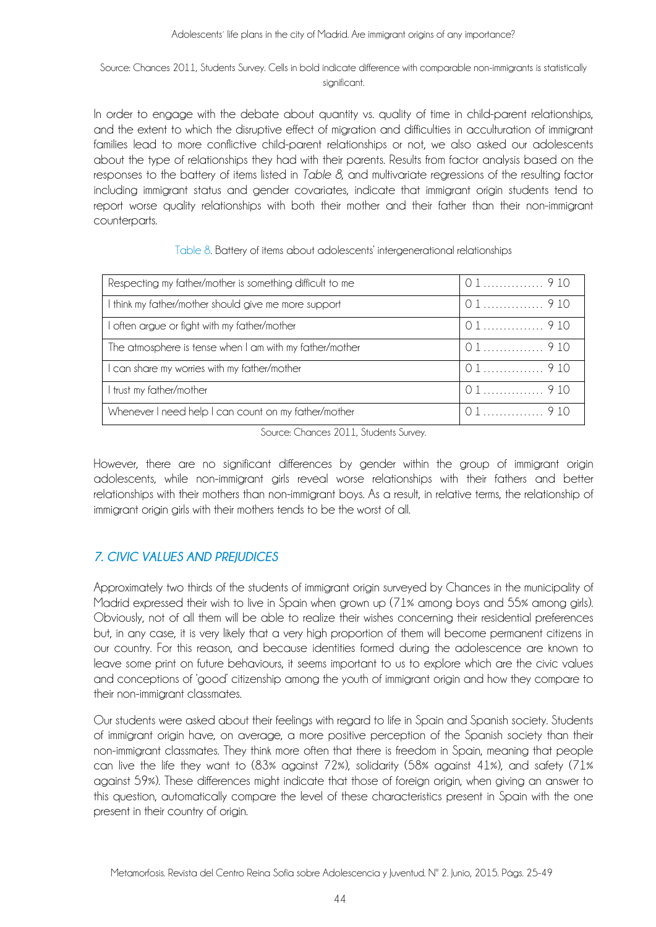#### Source: Chances 2011, Students Survey. Cells in bold indicate difference with comparable non-immigrants is statistically sianificant.

In order to engage with the debate about quantity vs. quality of time in child-parent relationships, and the extent to which the disruptive effect of migration and difficulties in acculturation of immigrant families lead to more conflictive child-parent relationships or not, we also asked our adolescents about the type of relationships they had with their parents. Results from factor analysis based on the responses to the battery of items listed in *Table 8*, and multivariate regressions of the resulting factor including immigrant status and gender covariates, indicate that immigrant origin students tend to report worse quality relationships with both their mother and their father than their non-immigrant counterparts.

| Respecting my father/mother is something difficult to me |        |
|----------------------------------------------------------|--------|
| I think my father/mother should give me more support     |        |
| I often argue or fight with my father/mother             |        |
| The atmosphere is tense when I am with my father/mother  | 01 910 |
| I can share my worries with my father/mother             |        |
| I trust my father/mother                                 |        |
| Whenever I need help I can count on my father/mother     |        |

#### Table 8. Battery of items about adolescents' intergenerational relationships

Source: Chances 2011, Students Survey.

However, there are no significant differences by gender within the group of immigrant origin adolescents, while non-immigrant girls reveal worse relationships with their fathers and better relationships with their mothers than non-immigrant boys. As a result, in relative terms, the relationship of immigrant origin girls with their mothers tends to be the worst of all.

# *7. CIVIC VALUES AND PREJUDICES*

Approximately two thirds of the students of immigrant origin surveyed by Chances in the municipality of Madrid expressed their wish to live in Spain when grown up (71% among boys and 55% among girls). Obviously, not of all them will be able to realize their wishes concerning their residential preferences but, in any case, it is very likely that a very high proportion of them will become permanent citizens in our country. For this reason, and because identities formed during the adolescence are known to leave some print on future behaviours, it seems important to us to explore which are the civic values and conceptions of 'good' citizenship among the youth of immigrant origin and how they compare to their non-immigrant classmates.

Our students were asked about their feelings with regard to life in Spain and Spanish society. Students of immigrant origin have, on average, a more positive perception of the Spanish society than their non-immigrant classmates. They think more often that there is freedom in Spain, meaning that people can live the life they want to (83% against 72%), solidarity (58% against 41%), and safety (71% against 59%). These differences might indicate that those of foreign origin, when giving an answer to this question, automatically compare the level of these characteristics present in Spain with the one present in their country of origin.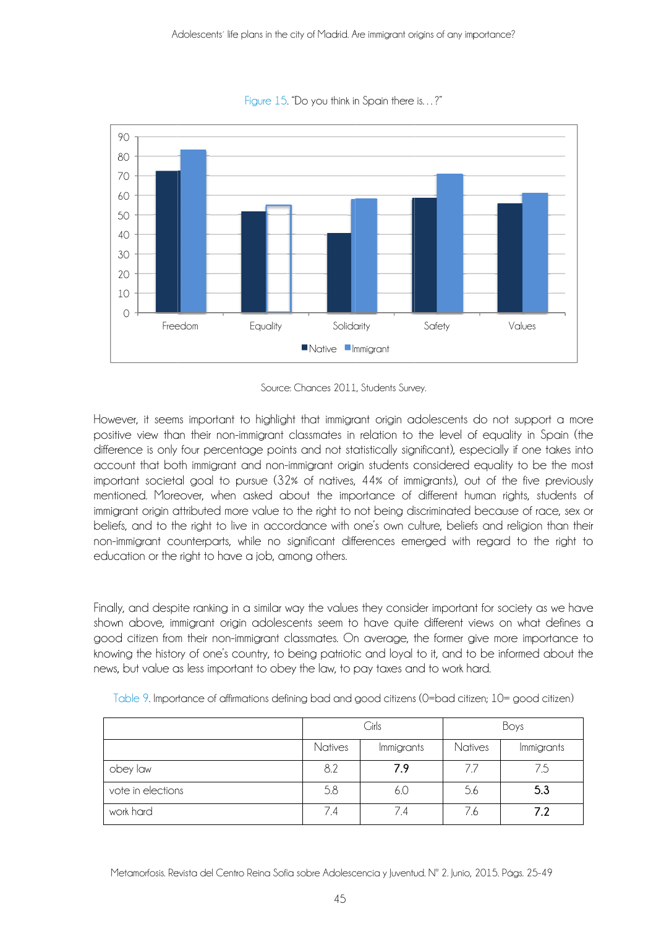

Figure 15. "Do you think in Spain there is...?"

However, it seems important to highlight that immigrant origin adolescents do not support a more positive view than their non-immigrant classmates in relation to the level of equality in Spain (the difference is only four percentage points and not statistically significant), especially if one takes into account that both immigrant and non-immigrant origin students considered equality to be the most important societal goal to pursue (32% of natives, 44% of immigrants), out of the five previously mentioned. Moreover, when asked about the importance of different human rights, students of immigrant origin attributed more value to the right to not being discriminated because of race, sex or beliefs, and to the right to live in accordance with one's own culture, beliefs and religion than their non-immigrant counterparts, while no significant differences emerged with regard to the right to education or the right to have a job, among others.

Finally, and despite ranking in a similar way the values they consider important for society as we have shown above, immigrant origin adolescents seem to have quite different views on what defines a good citizen from their non-immigrant classmates. On average, the former give more importance to knowing the history of one's country, to being patriotic and loyal to it, and to be informed about the news, but value as less important to obey the law, to pay taxes and to work hard.

|                   |                       | Cirls | Boys     |                   |  |
|-------------------|-----------------------|-------|----------|-------------------|--|
|                   | Natives<br>Immigrants |       | Natives  | <i>Immigrants</i> |  |
| obey law          | 8.2                   | 7.9   | $\prime$ | 7.5               |  |
| vote in elections | 5.8                   | 6.0   | 5.6      | 5.3               |  |
| work hard         | 7.4                   | 7.4   | 7.6      | 7.2               |  |

Table 9. Importance of affirmations defining bad and good citizens (0=bad citizen; 10= good citizen)

Metamorfosis. Revista del Centro Reina Sofía sobre Adolescencia y Juventud. Nº 2. Junio, 2015. Págs. 25-49

Source: Chances 2011, Students Survey.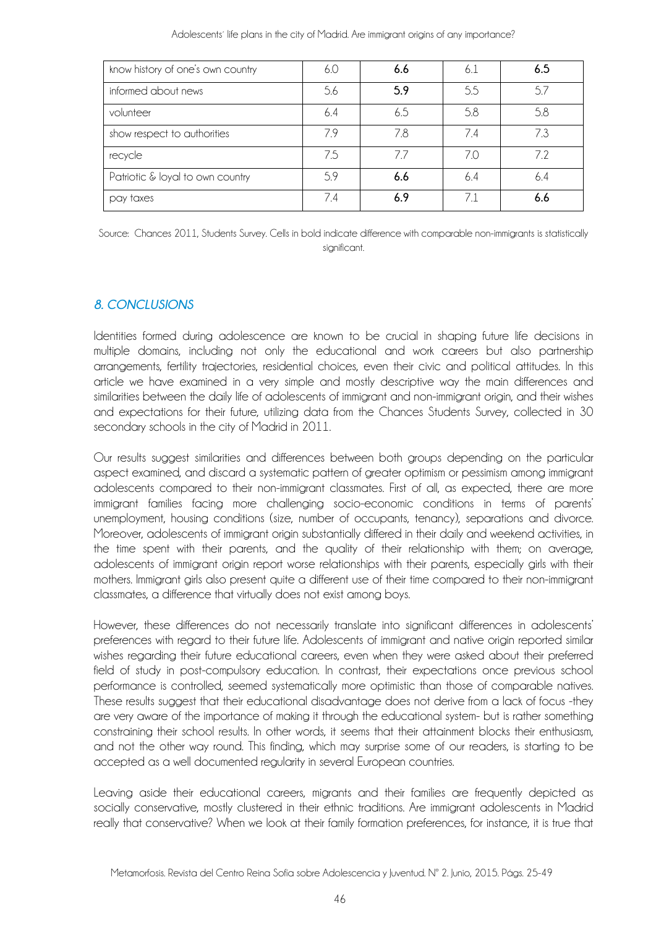| know history of one's own country | 6.0 | 6.6 | 6.1 | 6.5 |
|-----------------------------------|-----|-----|-----|-----|
| informed about news               | 5.6 | 5.9 | 5.5 | 5.7 |
| volunteer                         | 6.4 | 6.5 | 5.8 | 5.8 |
| show respect to authorities       | 79  | 7.8 | 74  | 7.3 |
| recycle                           | 7.5 | 77  | 7.0 | 72  |
| Patriotic & loyal to own country  | 5.9 | 6.6 | 6.4 | 6.4 |
| pay taxes                         | 7.4 | 6.9 | 71  | 6.6 |

Adolescents' life plans in the city of Madrid. Are immigrant origins of any importance?

Source: Chances 2011, Students Survey. Cells in bold indicate difference with comparable non-immigrants is statistically significant.

## *8. CONCLUSIONS*

Identities formed during adolescence are known to be crucial in shaping future life decisions in multiple domains, including not only the educational and work careers but also partnership arrangements, fertility trajectories, residential choices, even their civic and political attitudes. In this article we have examined in a very simple and mostly descriptive way the main differences and similarities between the daily life of adolescents of immigrant and non-immigrant origin, and their wishes and expectations for their future, utilizing data from the Chances Students Survey, collected in 30 secondary schools in the city of Madrid in 2011.

Our results suggest similarities and differences between both groups depending on the particular aspect examined, and discard a systematic pattern of greater optimism or pessimism among immigrant adolescents compared to their non-immigrant classmates. First of all, as expected, there are more immigrant families facing more challenging socio-economic conditions in terms of parents' unemployment, housing conditions (size, number of occupants, tenancy), separations and divorce. Moreover, adolescents of immigrant origin substantially differed in their daily and weekend activities, in the time spent with their parents, and the quality of their relationship with them; on average, adolescents of immigrant origin report worse relationships with their parents, especially girls with their mothers. Immigrant girls also present quite a different use of their time compared to their non-immigrant classmates, a difference that virtually does not exist among boys.

However, these differences do not necessarily translate into significant differences in adolescents' preferences with regard to their future life. Adolescents of immigrant and native origin reported similar wishes regarding their future educational careers, even when they were asked about their preferred field of study in post-compulsory education. In contrast, their expectations once previous school performance is controlled, seemed systematically more optimistic than those of comparable natives. These results suggest that their educational disadvantage does not derive from a lack of focus -they are very aware of the importance of making it through the educational system- but is rather something constraining their school results. In other words, it seems that their attainment blocks their enthusiasm, and not the other way round. This finding, which may surprise some of our readers, is starting to be accepted as a well documented regularity in several European countries.

Leaving aside their educational careers, migrants and their families are frequently depicted as socially conservative, mostly clustered in their ethnic traditions. Are immigrant adolescents in Madrid really that conservative? When we look at their family formation preferences, for instance, it is true that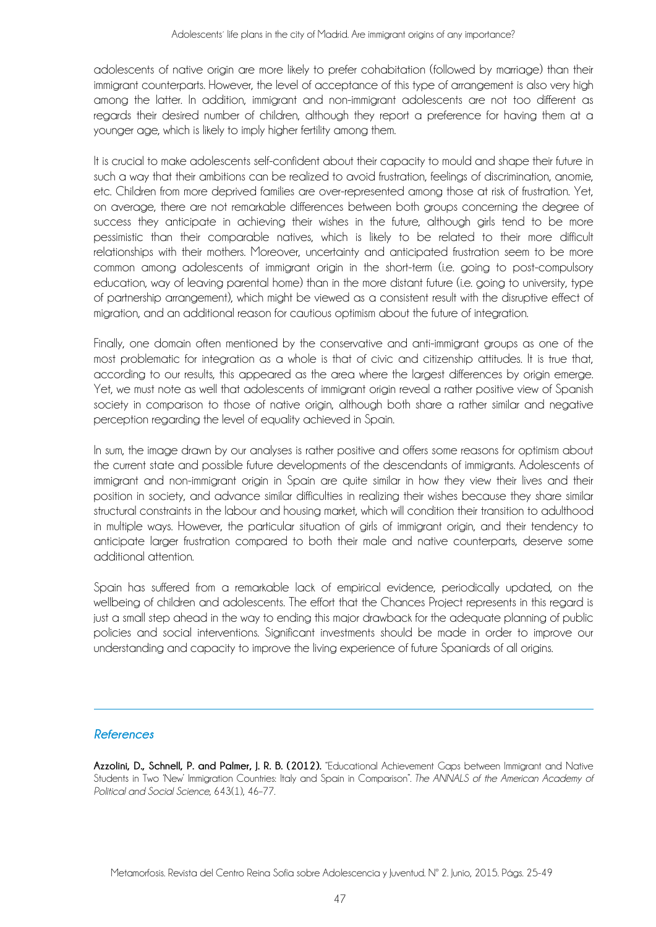adolescents of native origin are more likely to prefer cohabitation (followed by marriage) than their immigrant counterparts. However, the level of acceptance of this type of arrangement is also very high among the latter. In addition, immigrant and non-immigrant adolescents are not too different as regards their desired number of children, although they report a preference for having them at a younger age, which is likely to imply higher fertility among them.

It is crucial to make adolescents self-confident about their capacity to mould and shape their future in such a way that their ambitions can be realized to avoid frustration, feelings of discrimination, anomie, etc. Children from more deprived families are over-represented among those at risk of frustration. Yet, on average, there are not remarkable differences between both groups concerning the degree of success they anticipate in achieving their wishes in the future, although girls tend to be more pessimistic than their comparable natives, which is likely to be related to their more difficult relationships with their mothers. Moreover, uncertainty and anticipated frustration seem to be more common among adolescents of immigrant origin in the short-term (i.e. going to post-compulsory education, way of leaving parental home) than in the more distant future (i.e. going to university, type of partnership arrangement), which might be viewed as a consistent result with the disruptive effect of migration, and an additional reason for cautious optimism about the future of integration.

Finally, one domain often mentioned by the conservative and anti-immigrant groups as one of the most problematic for integration as a whole is that of civic and citizenship attitudes. It is true that, according to our results, this appeared as the area where the largest differences by origin emerge. Yet, we must note as well that adolescents of immigrant origin reveal a rather positive view of Spanish society in comparison to those of native origin, although both share a rather similar and negative perception regarding the level of equality achieved in Spain.

In sum, the image drawn by our analyses is rather positive and offers some reasons for optimism about the current state and possible future developments of the descendants of immigrants. Adolescents of immigrant and non-immigrant origin in Spain are quite similar in how they view their lives and their position in society, and advance similar difficulties in realizing their wishes because they share similar structural constraints in the labour and housing market, which will condition their transition to adulthood in multiple ways. However, the particular situation of girls of immigrant origin, and their tendency to anticipate larger frustration compared to both their male and native counterparts, deserve some additional attention.

Spain has suffered from a remarkable lack of empirical evidence, periodically updated, on the wellbeing of children and adolescents. The effort that the Chances Project represents in this regard is just a small step ahead in the way to ending this major drawback for the adequate planning of public policies and social interventions. Significant investments should be made in order to improve our understanding and capacity to improve the living experience of future Spaniards of all origins.

#### *References*

**Azzolini, D., Schnell, P. and Palmer, J. R. B. (2012).** "Educational Achievement Gaps between Immigrant and Native Students in Two 'New' Immigration Countries: Italy and Spain in Comparison". *The ANNALS of the American Academy of Political and Social Science*, 643(1), 46–77.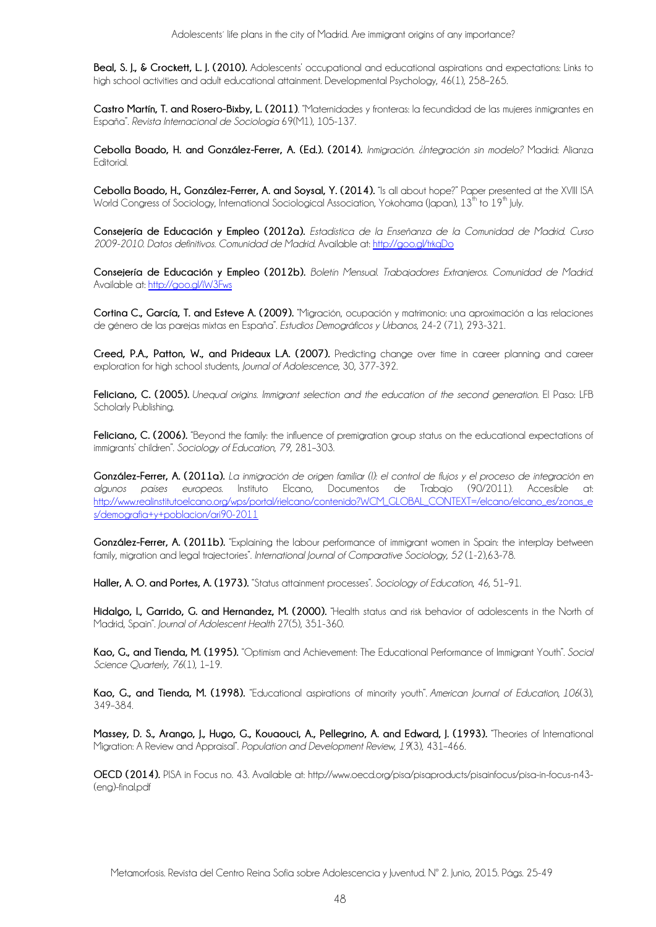**Beal, S. J., & Crockett, L. J. (2010).** Adolescents' occupational and educational aspirations and expectations: Links to high school activities and adult educational attainment. Developmental Psychology, 46(1), 258–265.

**Castro Martín, T. and Rosero-Bixby, L. (2011)**. "Maternidades y fronteras: la fecundidad de las mujeres inmigrantes en España". *Revista Internacional de Sociología* 69(M1), 105-137.

**Cebolla Boado, H. and González-Ferrer, A. (Ed.). (2014).** *Inmigración. ¿Integración sin modelo?* Madrid: Alianza Editorial.

**Cebolla Boado, H., González-Ferrer, A. and Soysal, Y. (2014).** "Is all about hope?" Paper presented at the XVIII ISA World Congress of Sociology, International Sociological Association, Yokohama (Japan),  $13^{th}$  to  $19^{th}$  July.

**Consejería de Educación y Empleo (2012a).** *Estadística de la Enseñanza de la Comunidad de Madrid. Curso 2009-2010. Datos definitivos. Comunidad de Madrid.* Available at: http://goo.gl/trkqDo

**Consejería de Educación y Empleo (2012b).** *Boletín Mensual. Trabajadores Extranjeros. Comunidad de Madrid*. Available at: http://goo.gl/iW3Fws

**Cortina C., García, T. and Esteve A. (2009).** "Migración, ocupación y matrimonio: una aproximación a las relaciones de género de las parejas mixtas en España". *Estudios Demográficos y Urbanos,* 24-2 (71), 293-321.

**Creed, P.A., Patton, W., and Prideaux L.A. (2007).** Predicting change over time in career planning and career exploration for high school students, *Journal of Adolescence*, 30, 377-392.

**Feliciano, C. (2005).** *Unequal origins. Immigrant selection and the education of the second generation*. El Paso: LFB Scholarly Publishing.

Feliciano, C. (2006). "Beyond the family: the influence of premigration group status on the educational expectations of immigrants' children". *Sociology of Education*, *79*, 281–303.

**González-Ferrer, A. (2011a).** *La inmigración de origen familiar (I): el control de flujos y el proceso de integración en algunos países europeos*. Instituto Elcano, Documentos de Trabajo (90/2011). Accesible at: http://www.realinstitutoelcano.org/wps/portal/rielcano/contenido?WCM\_GLOBAL\_CONTEXT=/elcano/elcano\_es/zonas\_e s/demografia+y+poblacion/ari90-2011

González-Ferrer, A. (2011b). "Explaining the labour performance of immigrant women in Spain: the interplay between family, migration and legal trajectories". *International Journal of Comparative Sociology, 52* (1-2),63-78.

**Haller, A. O. and Portes, A. (1973).** "Status attainment processes". *Sociology of Education*, *46*, 51–91.

**Hidalgo, I., Garrido, G. and Hernandez, M. (2000).** "Health status and risk behavior of adolescents in the North of Madrid, Spain". *Journal of Adolescent Health* 27(5), 351-360.

**Kao, G., and Tienda, M. (1995).** "Optimism and Achievement: The Educational Performance of Immigrant Youth". *Social Science Quarterly*, *76*(1), 1–19.

**Kao, G., and Tienda, M. (1998).** "Educational aspirations of minority youth". *American Journal of Education*, *106*(3), 349–384.

**Massey, D. S., Arango, J., Hugo, G., Kouaouci, A., Pellegrino, A. and Edward, J. (1993).** "Theories of International Migration: A Review and Appraisal". *Population and Development Review*, *19*(3), 431–466.

**OECD (2014).** PISA in Focus no. 43. Available at: http://www.oecd.org/pisa/pisaproducts/pisainfocus/pisa-in-focus-n43- (eng)-final.pdf